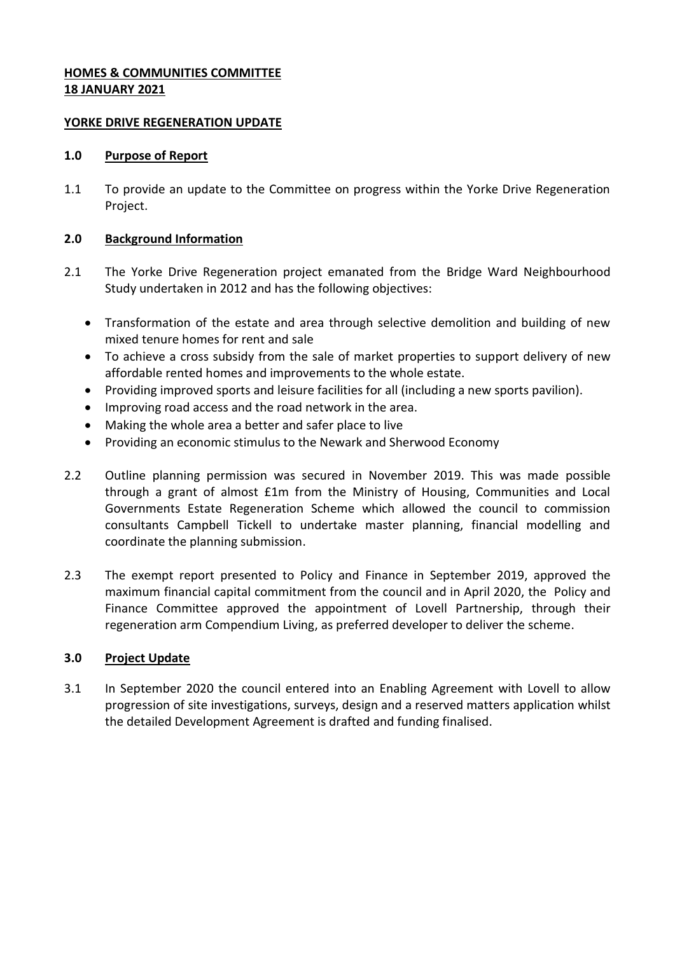# **HOMES & COMMUNITIES COMMITTEE 18 JANUARY 2021**

## **YORKE DRIVE REGENERATION UPDATE**

### **1.0 Purpose of Report**

1.1 To provide an update to the Committee on progress within the Yorke Drive Regeneration Project.

## **2.0 Background Information**

- 2.1 The Yorke Drive Regeneration project emanated from the Bridge Ward Neighbourhood Study undertaken in 2012 and has the following objectives:
	- Transformation of the estate and area through selective demolition and building of new mixed tenure homes for rent and sale
	- To achieve a cross subsidy from the sale of market properties to support delivery of new affordable rented homes and improvements to the whole estate.
	- Providing improved sports and leisure facilities for all (including a new sports pavilion).
	- Improving road access and the road network in the area.
	- Making the whole area a better and safer place to live
	- Providing an economic stimulus to the Newark and Sherwood Economy
- 2.2 Outline planning permission was secured in November 2019. This was made possible through a grant of almost £1m from the Ministry of Housing, Communities and Local Governments Estate Regeneration Scheme which allowed the council to commission consultants Campbell Tickell to undertake master planning, financial modelling and coordinate the planning submission.
- 2.3 The exempt report presented to Policy and Finance in September 2019, approved the maximum financial capital commitment from the council and in April 2020, the Policy and Finance Committee approved the appointment of Lovell Partnership, through their regeneration arm Compendium Living, as preferred developer to deliver the scheme.

## **3.0 Project Update**

3.1 In September 2020 the council entered into an Enabling Agreement with Lovell to allow progression of site investigations, surveys, design and a reserved matters application whilst the detailed Development Agreement is drafted and funding finalised.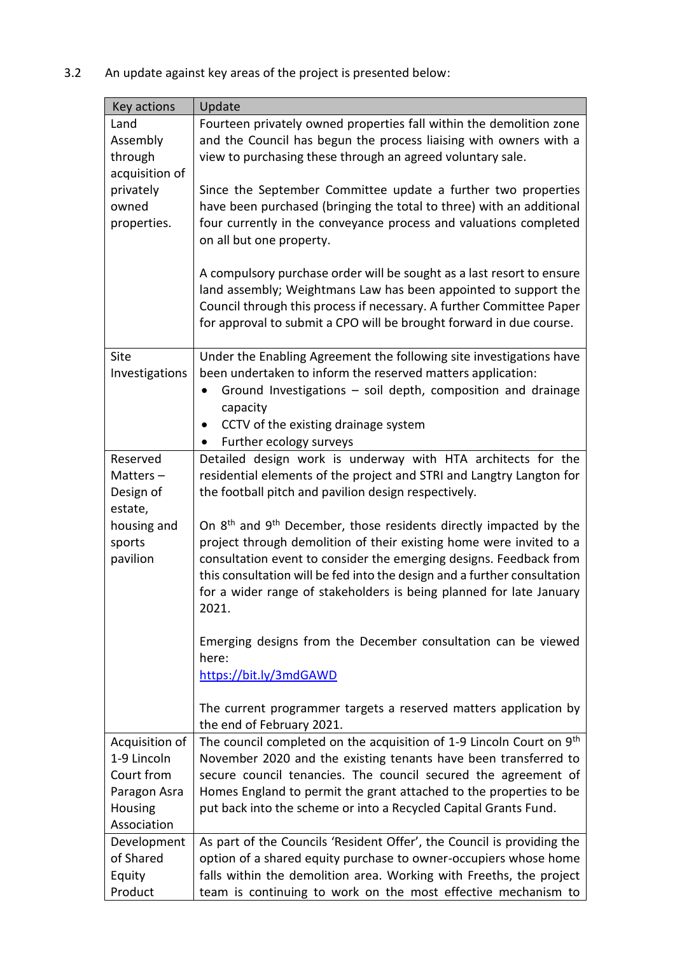3.2 An update against key areas of the project is presented below:

| Key actions    | Update                                                                                                                                   |
|----------------|------------------------------------------------------------------------------------------------------------------------------------------|
| Land           | Fourteen privately owned properties fall within the demolition zone                                                                      |
| Assembly       | and the Council has begun the process liaising with owners with a                                                                        |
| through        | view to purchasing these through an agreed voluntary sale.                                                                               |
| acquisition of |                                                                                                                                          |
| privately      | Since the September Committee update a further two properties                                                                            |
| owned          | have been purchased (bringing the total to three) with an additional                                                                     |
| properties.    | four currently in the conveyance process and valuations completed                                                                        |
|                | on all but one property.                                                                                                                 |
|                |                                                                                                                                          |
|                | A compulsory purchase order will be sought as a last resort to ensure<br>land assembly; Weightmans Law has been appointed to support the |
|                | Council through this process if necessary. A further Committee Paper                                                                     |
|                | for approval to submit a CPO will be brought forward in due course.                                                                      |
|                |                                                                                                                                          |
| Site           | Under the Enabling Agreement the following site investigations have                                                                      |
| Investigations | been undertaken to inform the reserved matters application:                                                                              |
|                | Ground Investigations - soil depth, composition and drainage                                                                             |
|                | capacity                                                                                                                                 |
|                | CCTV of the existing drainage system                                                                                                     |
|                | Further ecology surveys                                                                                                                  |
| Reserved       | Detailed design work is underway with HTA architects for the                                                                             |
| Matters-       | residential elements of the project and STRI and Langtry Langton for                                                                     |
| Design of      | the football pitch and pavilion design respectively.                                                                                     |
| estate,        |                                                                                                                                          |
| housing and    | On 8 <sup>th</sup> and 9 <sup>th</sup> December, those residents directly impacted by the                                                |
| sports         | project through demolition of their existing home were invited to a                                                                      |
| pavilion       | consultation event to consider the emerging designs. Feedback from                                                                       |
|                | this consultation will be fed into the design and a further consultation                                                                 |
|                | for a wider range of stakeholders is being planned for late January                                                                      |
|                | 2021.                                                                                                                                    |
|                | Emerging designs from the December consultation can be viewed                                                                            |
|                | here:                                                                                                                                    |
|                | https://bit.ly/3mdGAWD                                                                                                                   |
|                |                                                                                                                                          |
|                | The current programmer targets a reserved matters application by                                                                         |
|                | the end of February 2021.                                                                                                                |
| Acquisition of | The council completed on the acquisition of 1-9 Lincoln Court on 9 <sup>th</sup>                                                         |
| 1-9 Lincoln    | November 2020 and the existing tenants have been transferred to                                                                          |
| Court from     | secure council tenancies. The council secured the agreement of                                                                           |
| Paragon Asra   | Homes England to permit the grant attached to the properties to be                                                                       |
| Housing        | put back into the scheme or into a Recycled Capital Grants Fund.                                                                         |
| Association    |                                                                                                                                          |
| Development    | As part of the Councils 'Resident Offer', the Council is providing the                                                                   |
| of Shared      | option of a shared equity purchase to owner-occupiers whose home                                                                         |
| Equity         | falls within the demolition area. Working with Freeths, the project                                                                      |
| Product        | team is continuing to work on the most effective mechanism to                                                                            |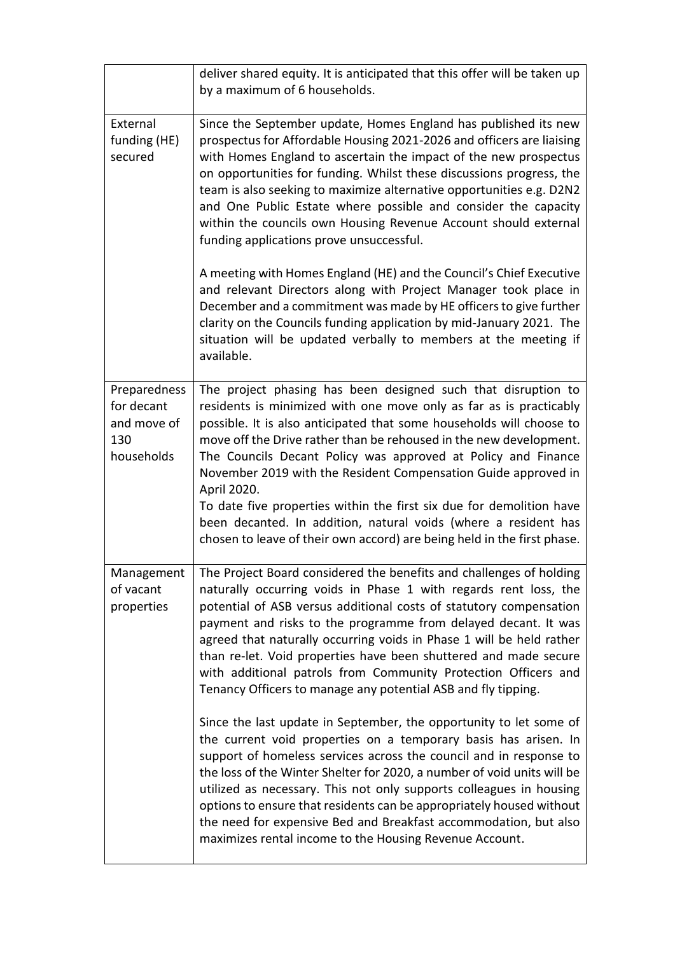|                                                                | deliver shared equity. It is anticipated that this offer will be taken up<br>by a maximum of 6 households.                                                                                                                                                                                                                                                                                                                                                                                                                                                                                                                                                |
|----------------------------------------------------------------|-----------------------------------------------------------------------------------------------------------------------------------------------------------------------------------------------------------------------------------------------------------------------------------------------------------------------------------------------------------------------------------------------------------------------------------------------------------------------------------------------------------------------------------------------------------------------------------------------------------------------------------------------------------|
| External<br>funding (HE)<br>secured                            | Since the September update, Homes England has published its new<br>prospectus for Affordable Housing 2021-2026 and officers are liaising<br>with Homes England to ascertain the impact of the new prospectus<br>on opportunities for funding. Whilst these discussions progress, the<br>team is also seeking to maximize alternative opportunities e.g. D2N2<br>and One Public Estate where possible and consider the capacity<br>within the councils own Housing Revenue Account should external<br>funding applications prove unsuccessful.                                                                                                             |
|                                                                | A meeting with Homes England (HE) and the Council's Chief Executive<br>and relevant Directors along with Project Manager took place in<br>December and a commitment was made by HE officers to give further<br>clarity on the Councils funding application by mid-January 2021. The<br>situation will be updated verbally to members at the meeting if<br>available.                                                                                                                                                                                                                                                                                      |
| Preparedness<br>for decant<br>and move of<br>130<br>households | The project phasing has been designed such that disruption to<br>residents is minimized with one move only as far as is practicably<br>possible. It is also anticipated that some households will choose to<br>move off the Drive rather than be rehoused in the new development.<br>The Councils Decant Policy was approved at Policy and Finance<br>November 2019 with the Resident Compensation Guide approved in<br>April 2020.<br>To date five properties within the first six due for demolition have<br>been decanted. In addition, natural voids (where a resident has<br>chosen to leave of their own accord) are being held in the first phase. |
| Management<br>of vacant<br>properties                          | The Project Board considered the benefits and challenges of holding<br>naturally occurring voids in Phase 1 with regards rent loss, the<br>potential of ASB versus additional costs of statutory compensation<br>payment and risks to the programme from delayed decant. It was<br>agreed that naturally occurring voids in Phase 1 will be held rather<br>than re-let. Void properties have been shuttered and made secure<br>with additional patrols from Community Protection Officers and<br>Tenancy Officers to manage any potential ASB and fly tipping.                                                                                            |
|                                                                | Since the last update in September, the opportunity to let some of<br>the current void properties on a temporary basis has arisen. In<br>support of homeless services across the council and in response to<br>the loss of the Winter Shelter for 2020, a number of void units will be<br>utilized as necessary. This not only supports colleagues in housing<br>options to ensure that residents can be appropriately housed without<br>the need for expensive Bed and Breakfast accommodation, but also<br>maximizes rental income to the Housing Revenue Account.                                                                                      |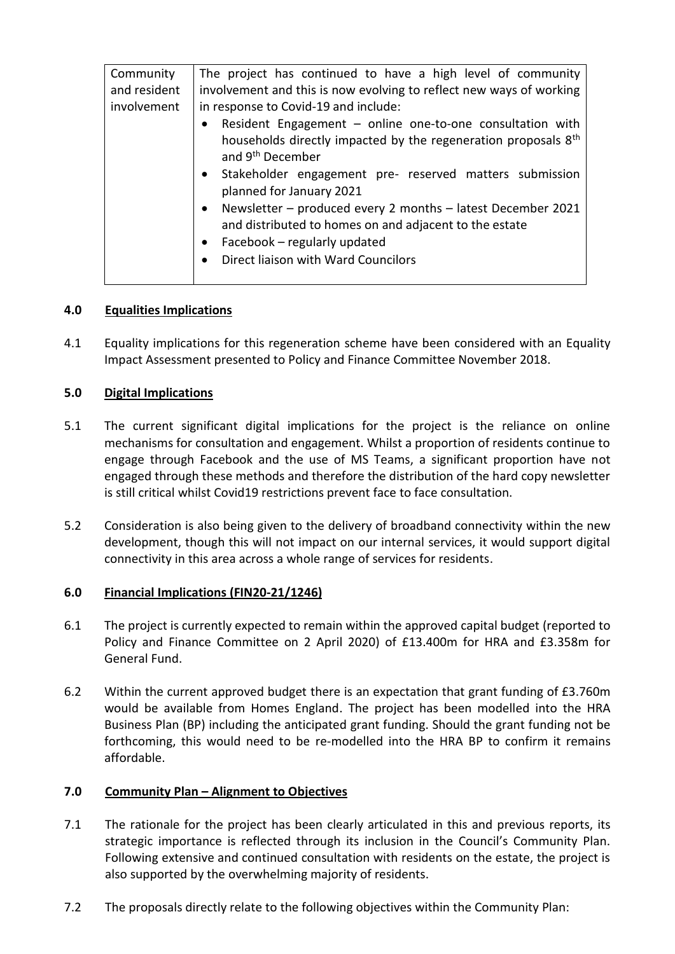| Community    | The project has continued to have a high level of community                                                                                                                                                                                                                                                                                                                                                                                                                                                          |
|--------------|----------------------------------------------------------------------------------------------------------------------------------------------------------------------------------------------------------------------------------------------------------------------------------------------------------------------------------------------------------------------------------------------------------------------------------------------------------------------------------------------------------------------|
| and resident | involvement and this is now evolving to reflect new ways of working                                                                                                                                                                                                                                                                                                                                                                                                                                                  |
| involvement  | in response to Covid-19 and include:                                                                                                                                                                                                                                                                                                                                                                                                                                                                                 |
|              | Resident Engagement - online one-to-one consultation with<br>$\bullet$<br>households directly impacted by the regeneration proposals 8 <sup>th</sup><br>and 9 <sup>th</sup> December<br>• Stakeholder engagement pre- reserved matters submission<br>planned for January 2021<br>Newsletter - produced every 2 months - latest December 2021<br>$\bullet$<br>and distributed to homes on and adjacent to the estate<br>Facebook - regularly updated<br>$\bullet$<br>Direct liaison with Ward Councilors<br>$\bullet$ |

## **4.0 Equalities Implications**

4.1 Equality implications for this regeneration scheme have been considered with an Equality Impact Assessment presented to Policy and Finance Committee November 2018.

## **5.0 Digital Implications**

- 5.1 The current significant digital implications for the project is the reliance on online mechanisms for consultation and engagement. Whilst a proportion of residents continue to engage through Facebook and the use of MS Teams, a significant proportion have not engaged through these methods and therefore the distribution of the hard copy newsletter is still critical whilst Covid19 restrictions prevent face to face consultation.
- 5.2 Consideration is also being given to the delivery of broadband connectivity within the new development, though this will not impact on our internal services, it would support digital connectivity in this area across a whole range of services for residents.

# **6.0 Financial Implications (FIN20-21/1246)**

- 6.1 The project is currently expected to remain within the approved capital budget (reported to Policy and Finance Committee on 2 April 2020) of £13.400m for HRA and £3.358m for General Fund.
- 6.2 Within the current approved budget there is an expectation that grant funding of £3.760m would be available from Homes England. The project has been modelled into the HRA Business Plan (BP) including the anticipated grant funding. Should the grant funding not be forthcoming, this would need to be re-modelled into the HRA BP to confirm it remains affordable.

## **7.0 Community Plan – Alignment to Objectives**

- 7.1 The rationale for the project has been clearly articulated in this and previous reports, its strategic importance is reflected through its inclusion in the Council's Community Plan. Following extensive and continued consultation with residents on the estate, the project is also supported by the overwhelming majority of residents.
- 7.2 The proposals directly relate to the following objectives within the Community Plan: